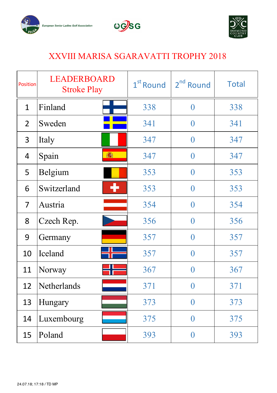





## XXVIII MARISA SGARAVATTI TROPHY 2018

| <b>Position</b> | LEADERBOARD<br><b>Stroke Play</b> | 1 <sup>st</sup> Round | 2 <sup>nd</sup> Round | <b>Total</b> |
|-----------------|-----------------------------------|-----------------------|-----------------------|--------------|
| $\mathbf{1}$    | Finland                           | 338                   | $\overline{0}$        | 338          |
| $\overline{2}$  | Sweden                            | 341                   | $\overline{0}$        | 341          |
| $\overline{3}$  | Italy                             | 347                   | $\overline{0}$        | 347          |
| $\overline{4}$  | 调<br>Spain                        | 347                   | $\mathbf{0}$          | 347          |
| 5               | Belgium                           | 353                   | $\overline{0}$        | 353          |
| 6               | ÷<br>Switzerland                  | 353                   | $\Omega$              | 353          |
| $\overline{7}$  | Austria                           | 354                   | $\overline{0}$        | 354          |
| 8               | Czech Rep.                        | 356                   | $\overline{0}$        | 356          |
| 9               | Germany                           | 357                   | $\overline{0}$        | 357          |
| 10              | Iceland                           | 357                   | $\overline{0}$        | 357          |
| 11              | Norway                            | 367                   | $\overline{0}$        | 367          |
| 12              | Netherlands                       | 371                   | $\mathbf{0}$          | 371          |
| 13              | Hungary                           | 373                   | $\bf{0}$              | 373          |
| 14              | Luxembourg                        | 375                   | $\overline{0}$        | 375          |
| 15              | Poland                            | 393                   | $\overline{0}$        | 393          |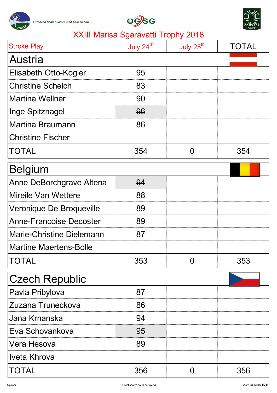





| <b>Stroke Play</b>               | July 24 <sup>th</sup> | July 25 <sup>th</sup> | <b>TOTAL</b> |
|----------------------------------|-----------------------|-----------------------|--------------|
| Austria                          |                       |                       |              |
| Elisabeth Otto-Kogler            | 95                    |                       |              |
| <b>Christine Schelch</b>         | 83                    |                       |              |
| <b>Martina Wellner</b>           | 90                    |                       |              |
| Inge Spitznagel                  | 96                    |                       |              |
| <b>Martina Braumann</b>          | 86                    |                       |              |
| <b>Christine Fischer</b>         |                       |                       |              |
| TOTAL                            | 354                   | $\Omega$              | 354          |
| <b>Belgium</b>                   |                       |                       |              |
| Anne DeBorchgrave Altena         | 94                    |                       |              |
| <b>Mireile Van Wettere</b>       | 88                    |                       |              |
| Veronique De Broqueville         | 89                    |                       |              |
| <b>Anne-Francoise Decoster</b>   | 89                    |                       |              |
| <b>Marie-Christine Dielemann</b> | 87                    |                       |              |
| <b>Martine Maertens-Bolle</b>    |                       |                       |              |
| TOTAL                            | 353                   | 0                     | 353          |
| <b>Czech Republic</b>            |                       |                       |              |
| Pavla Pribylova                  | 87                    |                       |              |
| Zuzana Truneckova                | 86                    |                       |              |
| Jana Krnanska                    | 94                    |                       |              |
| Eva Schovankova                  | 95                    |                       |              |
| Vera Hesova                      | 89                    |                       |              |
| Iveta Khrova                     |                       |                       |              |
| <b>TOTAL</b>                     | 356                   | 0                     | 356          |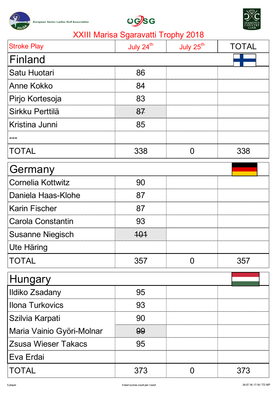





| <b>Stroke Play</b>         | July 24 <sup>th</sup> | July 25 <sup>th</sup> | TOTAL |
|----------------------------|-----------------------|-----------------------|-------|
| Finland                    |                       |                       |       |
| Satu Huotari               | 86                    |                       |       |
| <b>Anne Kokko</b>          | 84                    |                       |       |
| Pirjo Kortesoja            | 83                    |                       |       |
| Sirkku Perttilä            | 87                    |                       |       |
| Kristina Junni             | 85                    |                       |       |
|                            |                       |                       |       |
| <b>TOTAL</b>               | 338                   | $\Omega$              | 338   |
| Germany                    |                       |                       |       |
| <b>Cornelia Kottwitz</b>   | 90                    |                       |       |
| Daniela Haas-Klohe         | 87                    |                       |       |
| <b>Karin Fischer</b>       | 87                    |                       |       |
| <b>Carola Constantin</b>   | 93                    |                       |       |
| <b>Susanne Niegisch</b>    | <u> 101</u>           |                       |       |
| Ute Häring                 |                       |                       |       |
| <b>TOTAL</b>               | 357                   | O                     | 357   |
| Hungary                    |                       |                       |       |
| <b>Ildiko Zsadany</b>      | 95                    |                       |       |
| <b>Ilona Turkovics</b>     | 93                    |                       |       |
| Szilvia Karpati            | 90                    |                       |       |
| Maria Vainio Györi-Molnar  | 99                    |                       |       |
| <b>Zsusa Wieser Takacs</b> | 95                    |                       |       |
| Eva Erdai                  |                       |                       |       |
| <b>TOTAL</b>               | 373                   | $\Omega$              | 373   |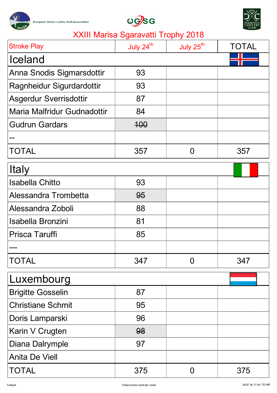





| <b>Stroke Play</b>            | July 24 <sup>th</sup> | July 25 <sup>th</sup> | TOTAL |
|-------------------------------|-----------------------|-----------------------|-------|
| Iceland                       |                       |                       |       |
| Anna Snodis Sigmarsdottir     | 93                    |                       |       |
| Ragnheidur Sigurdardottir     | 93                    |                       |       |
| <b>Asgerdur Sverrisdottir</b> | 87                    |                       |       |
| Maria Malfridur Gudnadottir   | 84                    |                       |       |
| <b>Gudrun Gardars</b>         | <del>100</del>        |                       |       |
|                               |                       |                       |       |
| <b>TOTAL</b>                  | 357                   | $\Omega$              | 357   |
| <b>Italy</b>                  |                       |                       |       |
| <b>Isabella Chitto</b>        | 93                    |                       |       |
| Alessandra Trombetta          | 95                    |                       |       |
| Alessandra Zoboli             | 88                    |                       |       |
| Isabella Bronzini             | 81                    |                       |       |
| <b>Prisca Taruffi</b>         | 85                    |                       |       |
|                               |                       |                       |       |
| <b>TOTAL</b>                  | 347                   | $\mathbf{\Omega}$     | 347   |
| Luxembourg                    |                       |                       |       |
| <b>Brigitte Gosselin</b>      | 87                    |                       |       |
| <b>Christiane Schmit</b>      | 95                    |                       |       |
| Doris Lamparski               | 96                    |                       |       |
| Karin V Crugten               | 98                    |                       |       |
| Diana Dalrymple               | 97                    |                       |       |
| <b>Anita De Viell</b>         |                       |                       |       |
| <b>TOTAL</b>                  | 375                   | 0                     | 375   |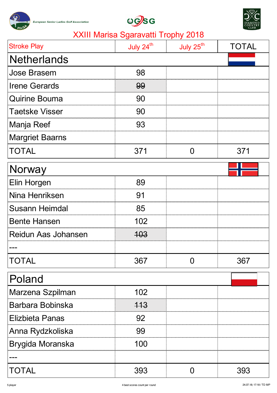





| <b>Stroke Play</b>         | July 24 <sup>th</sup> | July 25 <sup>th</sup> | TOTAL |
|----------------------------|-----------------------|-----------------------|-------|
| <b>Netherlands</b>         |                       |                       |       |
| <b>Jose Brasem</b>         | 98                    |                       |       |
| <b>Irene Gerards</b>       | 99                    |                       |       |
| <b>Quirine Bouma</b>       | 90                    |                       |       |
| <b>Taetske Visser</b>      | 90                    |                       |       |
| Manja Reef                 | 93                    |                       |       |
| <b>Margriet Baarns</b>     |                       |                       |       |
| <b>TOTAL</b>               | 371                   | $\Omega$              | 371   |
| Norway                     |                       |                       |       |
| Elin Horgen                | 89                    |                       |       |
| Nina Henriksen             | 91                    |                       |       |
| <b>Susann Heimdal</b>      | 85                    |                       |       |
| <b>Bente Hansen</b>        | 102                   |                       |       |
| <b>Reidun Aas Johansen</b> | <del>103</del>        |                       |       |
|                            |                       |                       |       |
| <b>TOTAL</b>               | 367                   | O                     | 367   |
| Poland                     |                       |                       |       |
| Marzena Szpilman           | 102                   |                       |       |
| Barbara Bobinska           | 113                   |                       |       |
| <b>Elizbieta Panas</b>     | 92                    |                       |       |
| Anna Rydzkoliska           | 99                    |                       |       |
| Brygida Moranska           | 100                   |                       |       |
|                            |                       |                       |       |
| <b>TOTAL</b>               | 393                   | 0                     | 393   |